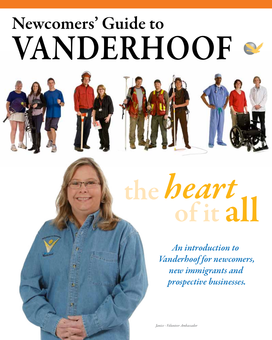# VANDERHOOF Newcomers' Guide to







# of it all the *heart*

*An introduction to Vanderhoof for newcomers, new immigrants and prospective businesses.*

*Janice - Volunteer Ambassador*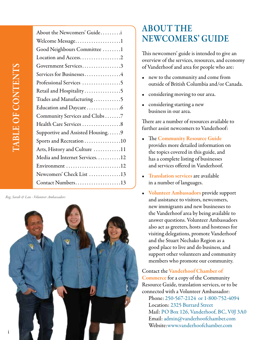| About the Newcomers' Guidei      |
|----------------------------------|
| Welcome Message1                 |
| Good Neighbours Committee 1      |
| Location and Access2             |
| Government Services3             |
| Services for Businesses4         |
| Professional Services 5          |
| Retail and Hospitality5          |
| Trades and Manufacturing5        |
| Education and Daycare6           |
| Community Services and Clubs 7   |
| Health Care Services 8           |
| Supportive and Assisted Housing9 |
| Sports and Recreation 10         |
| Arts, History and Culture 11     |
| Media and Internet Services12    |
| Environment 12                   |
| Newcomers' Check List 13         |
| Contact Numbers13                |

*Reg, Sarah & Lan - Volunteer Ambassadors*



#### **ABOUT THE** Newcomers' Guide

This newcomers' guide is intended to give an overview of the services, resources, and economy of Vanderhoof and area for people who are:

- new to the community and come from outside of British Columbia and/or Canada.
- considering moving to our area.
- considering starting a new business in our area.

There are a number of resources available to further assist newcomers to Vanderhoof:

- The Community Resource Guide provides more detailed information on the topics covered in this guide, and has a complete listing of businesses and services offered in Vanderhoof.
- **Translation services are available** in a number of languages.
- • Volunteer Ambassadors provide support and assistance to visitors, newcomers, new immigrants and new businesses to the Vanderhoof area by being available to answer questions. Volunteer Ambassadors also act as greeters, hosts and hostesses for visiting delegations, promote Vanderhoof and the Stuart Nechako Region as a good place to live and do business, and support other volunteers and community members who promote our community.

Contact the Vanderhoof Chamber of Commerce for a copy of the Community Resource Guide, translation services, or to be connected with a Volunteer Ambassador: Phone: 250-567-2124 or 1-800-752-4094 Location: 2325 Burrard Street Mail: PO Box 126, Vanderhoof, BC, V0J 3A0 Email: admin@vanderhoofchamber.com Website:www.vanderhoofchamber.com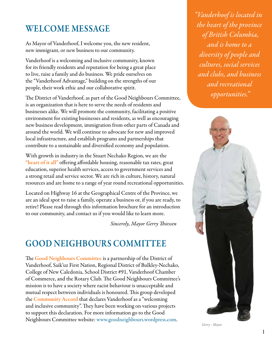#### Welcome Message

As Mayor of Vanderhoof, I welcome you, the new resident, new immigrant, or new business to our community.

Vanderhoof is a welcoming and inclusive community, known for its friendly residents and reputation for being a great place to live, raise a family and do business. We pride ourselves on the "Vanderhoof Advantage," building on the strengths of our people, their work ethic and our collaborative spirit.

The District of Vanderhoof, as part of the Good Neighbours Committee, is an organization that is here to serve the needs of residents and businesses alike. We will promote the community, facilitating a positive environment for existing businesses and residents, as well as encouraging new business development, immigration from other parts of Canada and around the world. We will continue to advocate for new and improved local infrastructure, and establish programs and partnerships that contribute to a sustainable and diversified economy and population.

With growth in industry in the Stuart Nechako Region, we are the "heart of it all" offering affordable housing, reasonable tax rates, great education, superior health services, access to government services and a strong retail and service sector. We are rich in culture, history, natural resources and are home to a range of year round recreational opportunities.

Located on Highway 16 at the Geographical Centre of the Province, we are an ideal spot to raise a family, operate a business or, if you are ready, to retire! Please read through this information brochure for an introduction to our community, and contact us if you would like to learn more.

 *Sincerely, Mayor Gerry Thiessen*

#### Good Neighbours Committee

The Good Neighbours Committee is a partnership of the District of Vanderhoof, Saik'uz First Nation, Regional District of Bulkley-Nechako, College of New Caledonia, School District #91, Vanderhoof Chamber of Commerce, and the Rotary Club. The Good Neighbours Committee's mission is to have a society where racist behaviour is unacceptable and mutual respect between individuals is honoured. This group developed the Community Accord that declares Vanderhoof as a "welcoming and inclusive community". They have been working on various projects to support this declaration. For more information go to the Good Neighbours Committee website: www.goodneighbours.wordpress.com.

*"Vanderhoof is located in the heart of the province of British Columbia, and is home to a diversity of people and cultures, social services and clubs, and business and recreational opportunities."* 



*Gerry - Mayor*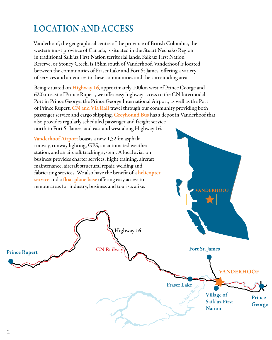# Location and Access

Vanderhoof, the geographical centre of the province of British Columbia, the western most province of Canada, is situated in the Stuart Nechako Region in traditional Saik'uz First Nation territorial lands. Saik'uz First Nation Reserve, or Stoney Creek, is 15km south of Vanderhoof. Vanderhoof is located between the communities of Fraser Lake and Fort St James, offering a variety of services and amenities to these communities and the surrounding area.

Being situated on Highway 16, approximately 100km west of Prince George and 620km east of Prince Rupert, we offer easy highway access to the CN Intermodal Port in Prince George, the Prince George International Airport, as well as the Port of Prince Rupert. CN and Via Rail travel through our community providing both passenger service and cargo shipping. Greyhound Bus has a depot in Vanderhoof that also provides regularly scheduled passenger and freight service north to Fort St James, and east and west along Highway 16.

Highway 16

Vanderhoof Airport boasts a new 1,524m asphalt runway, runway lighting, GPS, an automated weather station, and an aircraft tracking system. A local aviation business provides charter services, flight training, aircraft maintenance, aircraft structural repair, welding and fabricating services. We also have the benefit of a <mark>helicopter</mark> service and a float plane base offering easy access to remote areas for industry, business and tourists alike.

Prince Rupert CN Railway

Fort St. James

**ANDERHOOF** 

**VANDERHOOF** 

Fraser Lake PLAKE River

Village of

**Nation** 

Saik'uz First Prince George

2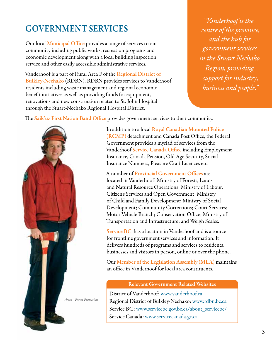## Government Services

Our local Municipal Office provides a range of services to our community including public works, recreation programs and economic development along with a local building inspection service and other easily accessible administrative services.

Vanderhoof is a part of Rural Area F of the Regional District of Bulkley-Nechako (RDBN). RDBN provides services to Vanderhoof residents including waste management and regional economic benefit initiatives as well as providing funds for equipment, renovations and new construction related to St. John Hospital through the Stuart-Nechako Regional Hospital District.

*"Vanderhoof is the centre of the province, and the hub for government services in the Stuart Nechako Region, providing support for industry, business and people."*

The Saik'uz First Nation Band Office provides government services to their community.



In addition to a local Royal Canadian Mounted Police (RCMP) detachment and Canada Post Office, the Federal Government provides a myriad of services from the Vanderhoof Service Canada Office including Employment Insurance, Canada Pension, Old Age Security, Social Insurance Numbers, Pleasure Craft Licences etc.

A number of Provincial Government Offices are located in Vanderhoof: Ministry of Forests, Lands and Natural Resource Operations; Ministry of Labour, Citizen's Services and Open Government; Ministry of Child and Family Development; Ministry of Social Development; Community Corrections; Court Services; Motor Vehicle Branch; Conservation Office; Ministry of Transportation and Infrastructure; and Weigh Scales.

Service BC has a location in Vanderhoof and is a source for frontline government services and information. It delivers hundreds of programs and services to residents, businesses and visitors in person, online or over the phone.

Our Member of the Legislation Assembly (MLA) maintains an office in Vanderhoof for local area constituents.

#### Relevant Government Related Websites

District of Vanderhoof: www.vanderhoof.ca Regional District of Bulkley-Nechako: www.rdbn.bc.ca Service BC: www.servicebc.gov.bc.ca/about\_servicebc/ Service Canada: www.servicecanada.gc.ca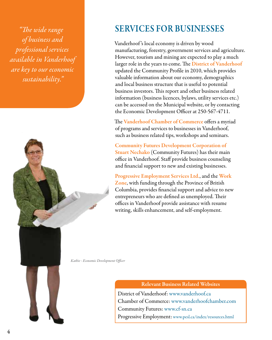*"The wide range of business and professional services available in Vanderhoof are key to our economic sustainability."* 



#### Services for Businesses

Vanderhoof 's local economy is driven by wood manufacturing, forestry, government services and agriculture. However, tourism and mining are expected to play a much larger role in the years to come. The **District of Vanderhoof** updated the Community Profile in 2010, which provides valuable information about our economy, demographics and local business structure that is useful to potential business investors. This report and other business related information (business licences, bylaws, utility services etc.) can be accessed on the Municipal website, or by contacting the Economic Development Officer at 250-567-4711.

The Vanderhoof Chamber of Commerce offers a myriad of programs and services to businesses in Vanderhoof, such as business related tips, workshops and seminars.

Community Futures Development Corporation of Stuart Nechako (Community Futures) has their main office in Vanderhoof. Staff provide business counseling and financial support to new and existing businesses.

Progressive Employment Services Ltd., and the Work Zone, with funding through the Province of British Columbia, provides financial support and advice to new entrepreneurs who are defined as unemployed. Their offices in Vanderhoof provide assistance with resume writing, skills enhancement, and self-employment.

*Kathie - Economic Development Officer*

#### Relevant Business Related Websites

District of Vanderhoof: www.vanderhoof.ca Chamber of Commerce: www.vanderhoofchamber.com Community Futures: www.cf-sn.ca Progressive Employment: www.pesl.ca/index/resources.html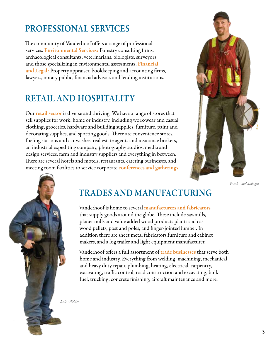#### Professional Services

The community of Vanderhoof offers a range of professional services. Environmental Services: Forestry consulting firms, archaeological consultants, veterinarians, biologists, surveyors and those specializing in environmental assessments. Financial and Legal: Property appraiser, bookkeeping and accounting firms, lawyers, notary public, financial advisors and lending institutions.

#### Retail and Hospitality

Our retail sector is diverse and thriving. We have a range of stores that sell supplies for work, home or industry, including work-wear and casual clothing, groceries, hardware and building supplies, furniture, paint and decorating supplies, and sporting goods. There are convenience stores, fueling stations and car washes, real estate agents and insurance brokers, an industrial expediting company, photography studios, media and design services, farm and industry suppliers and everything in between. There are several hotels and motels, restaurants, catering businesses, and meeting room facilities to service corporate conferences and gatherings.



*Frank - Archaeologist*



#### Trades and Manufacturing

Vanderhoof is home to several manufacturers and fabricators that supply goods around the globe. These include sawmills, planer mills and value added wood products plants such as wood pellets, post and poles, and finger-jointed lumber. In addition there are sheet metal fabricators,furniture and cabinet makers, and a log trailer and light equipment manufacturer.

Vanderhoof offers a full assortment of trade businesses that serve both home and industry. Everything from welding, machining, mechanical and heavy duty repair, plumbing, heating, electrical, carpentry, excavating, traffic control, road construction and excavating, bulk fuel, trucking, concrete finishing, aircraft maintenance and more.

*Luis - Welder*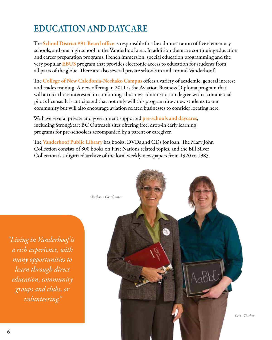## Education and Daycare

The School District #91 Board office is responsible for the administration of five elementary schools, and one high school in the Vanderhoof area. In addition there are continuing education and career preparation programs, French immersion, special education programming and the very popular **EBUS** program that provides electronic access to education for students from all parts of the globe. There are also several private schools in and around Vanderhoof.

The College of New Caledonia-Nechako Campus offers a variety of academic, general interest and trades training. A new offering in 2011 is the Aviation Business Diploma program that will attract those interested in combining a business administration degree with a commercial pilot's license. It is anticipated that not only will this program draw new students to our community but will also encourage aviation related businesses to consider locating here.

We have several private and government supported pre-schools and daycares, including StrongStart BC Outreach sites offering free, drop-in early learning programs for pre-schoolers accompanied by a parent or caregiver.

The Vanderhoof Public Library has books, DVDs and CDs for loan. The Mary John Collection consists of 800 books on First Nations related topics, and the Bill Silver Collection is a digitized archive of the local weekly newspapers from 1920 to 1983.



*"Living in Vanderhoof is a rich experience, with many opportunities to learn through direct education, community groups and clubs, or volunteering."*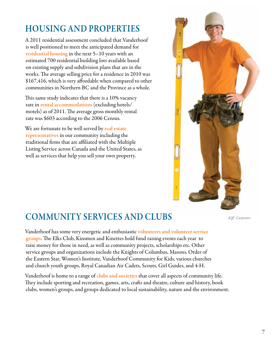# Housing and Properties

A 2011 residential assessment concluded that Vanderhoof is well positioned to meet the anticipated demand for residential housing in the next 5–10 years with an estimated 700 residential building lots available based on existing supply and subdivision plans that are in the works. The average selling price for a residence in 2010 was \$167,416, which is very affordable when compared to other communities in Northern BC and the Province as a whole.

This same study indicates that there is a 10% vacancy rate in rental accommodations (excluding hotels/ motels) as of 2011. The average gross monthly rental rate was \$603 according to the 2006 Census.

We are fortunate to be well served by real estate representatives in our community including the traditional firms that are affiliated with the Multiple Listing Service across Canada and the United States, as well as services that help you sell your own property.



#### Community Services and Clubs *Kiff - Carpenter*

Vanderhoof has some very energetic and enthusiastic volunteers and volunteer service groups. The Elks Club, Kinsmen and Kinettes hold fund raising events each year to raise money for those in need, as well as community projects, scholarships etc. Other service groups and organizations include the Knights of Columbus, Masons, Order of the Eastern Star, Women's Institute, Vanderhoof Community for Kids, various churches and church youth groups, Royal Canadian Air Cadets, Scouts, Girl Guides, and 4-H.

Vanderhoof is home to a range of clubs and societies that cover all aspects of community life. They include sporting and recreation, games, arts, crafts and theatre, culture and history, book clubs, women's groups, and groups dedicated to local sustainability, nature and the environment.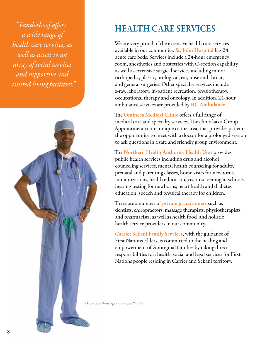*"Vanderhoof offers a wide range of health care services, as well as access to an array of social services and supportive and assisted living facilities."*



#### Health Care Services

We are very proud of the extensive health care services available in our community. St. John Hospital has 24 acute care beds. Services include a 24-hour emergency room, anesthetics and obstetrics with C-section capability as well as extensive surgical services including minor orthopedic, plastic, urological, ear, nose and throat, and general surgeries. Other specialty services include x-ray, laboratory, in-patient recreation, physiotherapy, occupational therapy and oncology. In addition, 24-hour ambulance services are provided by BC Ambulance.

The **Omineca Medical Clinic** offers a full range of medical care and specialty services. The clinic has a Group Appointment room, unique to the area, that provides patients the opportunity to meet with a doctor for a prolonged session to ask questions in a safe and friendly group environment.

The Northern Health Authority Health Unit provides public health services including drug and alcohol counceling services, mental health counseling for adults, prenatal and parenting classes, home visits for newborns, immunizations, health education, vision screening in schools, hearing testing for newborns, heart health and diabetes education, speech and physical therapy for children.

There are a number of private practitioners such as dentists, chiropractors, massage therapists, physiotherapists, and pharmacists, as well as health food and holistic health service providers in our community.

Carrier Sekani Family Services, with the guidance of First Nations Elders, is committed to the healing and empowerment of Aboriginal families by taking direct responsibilities for: health, social and legal services for First Nations people residing in Carrier and Sekani territory.

*Davy - Anesthesiology and Family Practice*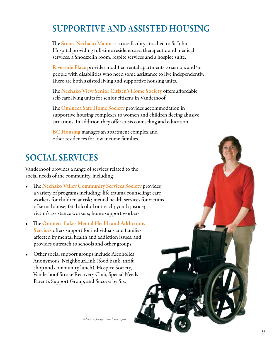## Supportive and Assisted Housing

The **Stuart Nechako Manor** is a care facility attached to St John Hospital providing full-time resident care, therapeutic and medical services, a Snoeszelin room, respite services and a hospice suite.

Riverside Place provides modified rental apartments to seniors and/or people with disabilities who need some assistance to live independently. There are both assisted living and supportive housing units.

The Nechako View Senior Citizen's Home Society offers affordable self-care living units for senior citizens in Vanderhoof.

The **Omineca Safe Home Society** provides accommodation in supportive housing complexes to women and children fleeing abusive situations. In addition they offer crisis counseling and education.

BC Housing manages an apartment complex and other residences for low income families.

#### Social Services

Vanderhoof provides a range of services related to the social needs of the community, including:

- The Nechako Valley Community Services Society provides a variety of programs including: life trauma counseling; care workers for children at risk; mental health services for victims of sexual abuse; fetal alcohol outreach; youth justice; victim's assistance workers; home support workers.
- The Omineca Lakes Mental Health and Addictions Services offers support for individuals and families affected by mental health and addiction issues, and provides outreach to schools and other groups.
- Other social support groups include Alcoholics Anonymous, NeighbourLink (food bank, thrift shop and community lunch), Hospice Society, Vanderhoof Stroke Recovery Club, Special Needs Parent's Support Group, and Success by Six.

*Valerie - Occupational Therapist*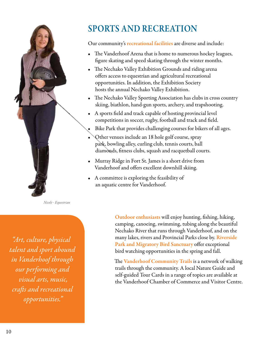

*Nicole - Equestrian*

*"Art, culture, physical talent and sport abound in Vanderhoof through our performing and visual arts, music, crafts and recreational opportunities."* 

## Sports and Recreation

Our community's recreational facilities are diverse and include:

- The Vanderhoof Arena that is home to numerous hockey leagues, figure skating and speed skating through the winter months.
- The Nechako Valley Exhibition Grounds and riding arena offers access to equestrian and agricultural recreational opportunities. In addition, the Exhibition Society hosts the annual Nechako Valley Exhibition.
- The Nechako Valley Sporting Association has clubs in cross country skiing, biathlon, hand-gun sports, archery, and trapshooting.
- A sports field and track capable of hosting provincial level competitions in soccer, rugby, football and track and field.
- Bike Park that provides challenging courses for bikers of all ages.
- Other venues include an 18 hole golf course, spray park, bowling alley, curling club, tennis courts, ball diamonds, fitness clubs, squash and racquetball courts.
- Murray Ridge in Fort St. James is a short drive from Vanderhoof and offers excellent downhill skiing.
- A committee is exploring the feasibility of an aquatic centre for Vanderhoof.

Outdoor enthusiasts will enjoy hunting, fishing, hiking, camping, canoeing, swimming, tubing along the beautiful Nechako River that runs through Vanderhoof, and on the many lakes, rivers and Provincial Parks close by. Riverside Park and Migratory Bird Sanctuary offer exceptional bird watching opportunities in the spring and fall.

The Vanderhoof Community Trails is a network of walking trails through the community. A local Nature Guide and self-guided Tour Cards in a range of topics are available at the Vanderhoof Chamber of Commerce and Visitor Centre.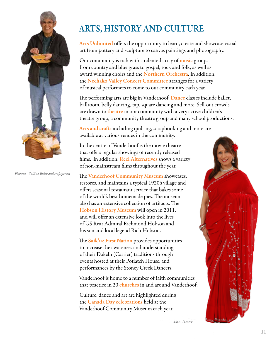

*Florence - Saik'uz Elder and craftsperson*

### Arts, History and Culture

Arts Unlimited offers the opportunity to learn, create and showcase visual art from pottery and sculpture to canvas paintings and photography.

Our community is rich with a talented array of **music** groups from country and blue grass to gospel, rock and folk, as well as award winning choirs and the Northern Orchestra. In addition, the Nechako Valley Concert Committee arranges for a variety of musical performers to come to our community each year.

The performing arts are big in Vanderhoof. Dance classes include ballet, ballroom, belly dancing, tap, square dancing and more. Sell-out crowds are drawn to theatre in our community with a very active children's theatre group, a community theatre group and many school productions.

Arts and crafts including quilting, scrapbooking and more are available at various venues in the community.

In the centre of Vanderhoof is the movie theatre that offers regular showings of recently released films. In addition, Reel Alternatives shows a variety of non-mainstream films throughout the year.

The Vanderhoof Community Museum showcases, restores, and maintains a typical 1920's village and offers seasonal restaurant service that bakes some of the world's best homemade pies. The museum also has an extensive collection of artifacts. The Hobson History Museum will open in 2011, and will offer an extensive look into the lives of US Rear Admiral Richmond Hobson and his son and local legend Rich Hobson.

The Saik'uz First Nation provides opportunities to increase the awareness and understanding of their Dakelh (Carrier) traditions through events hosted at their Potlatch House, and performances by the Stoney Creek Dancers.

Vanderhoof is home to a number of faith communities that practice in 20 churches in and around Vanderhoof.

Culture, dance and art are highlighted during the Canada Day celebrations held at the Vanderhoof Community Museum each year.



*Asha - Dancer*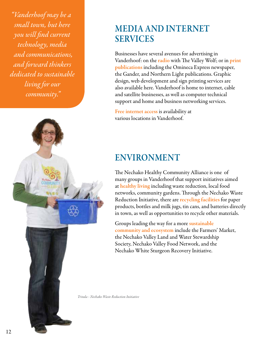*"Vanderhoof may be a small town, but here you will find current technology, media and communications, and forward thinkers dedicated to sustainable living for our community."* 



#### Media and Internet **SERVICES**

Businesses have several avenues for advertising in Vanderhoof: on the radio with The Valley Wolf; or in print publications including the Omineca Express newspaper, the Gander, and Northern Light publications. Graphic design, web development and sign printing services are also available here. Vanderhoof is home to internet, cable and satellite businesses, as well as computer technical support and home and business networking services.

Free internet access is availability at various locations in Vanderhoof.

#### Environment

The Nechako Healthy Community Alliance is one of many groups in Vanderhoof that support initiatives aimed at healthy living including waste reduction, local food networks, community gardens. Through the Nechako Waste Reduction Initiative, there are recycling facilities for paper products, bottles and milk jugs, tin cans, and batteries directly in town, as well as opportunities to recycle other materials.

Groups leading the way for a more sustainable community and ecosystem include the Farmers' Market, the Nechako Valley Land and Water Stewardship Society, Nechako Valley Food Network, and the Nechako White Sturgeon Recovery Initiative.

*Trinda - Nechako Waste Reduction Initiative*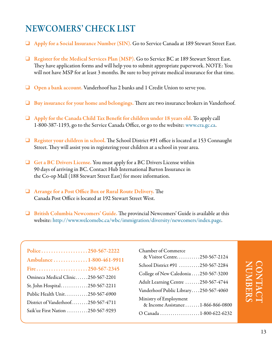#### Newcomers' Check List

- ❑ Apply for a Social Insurance Number (SIN). Go to Service Canada at 189 Stewart Street East.
- $\Box$  Register for the Medical Services Plan (MSP). Go to Service BC at 189 Stewart Street East. They have application forms and will help you to submit appropriate paperwork. NOTE: You will not have MSP for at least 3 months. Be sure to buy private medical insurance for that time.
- ❑ Open a bank account. Vanderhoof has 2 banks and 1 Credit Union to serve you.
- ❑ Buy insurance for your home and belongings. There are two insurance brokers in Vanderhoof.
- $\Box$  Apply for the Canada Child Tax Benefit for children under 18 years old. To apply call 1-800-387-1193, go to the Service Canada Office, or go to the website: www.cra.gc.ca.
- ❑ Register your children in school. The School District #91 office is located at 153 Connaught Street. They will assist you in registering your children at a school in your area.
- ❑ Get a BC Drivers License. You must apply for a BC Drivers License within 90 days of arriving in BC. Contact Hub International Barton Insurance in the Co-op Mall (188 Stewart Street East) for more information.
- ❑ Arrange for a Post Office Box or Rural Route Delivery. The Canada Post Office is located at 192 Stewart Street West.
- ❑ British Columbia Newcomers' Guide. The provincial Newcomers' Guide is available at this website: http://www.welcomebc.ca/wbc/immigration/diversity/newcomers/index.page.

| Police250-567-2222                 |  |
|------------------------------------|--|
| Ambulance 1-800-461-9911           |  |
| Fire250-567-2345                   |  |
| Omineca Medical Clinic250-567-2201 |  |
| St. John Hospital250-567-2211      |  |
| Public Health Unit250-567-6900     |  |
| District of Vanderhoof250-567-4711 |  |
| Saik'uz First Nation 250-567-9293  |  |
|                                    |  |

| Chamber of Commerce<br>& Visitor Centre250-567-2124           |
|---------------------------------------------------------------|
| School District #91 250-567-2284                              |
| College of New Caledonia 250-567-3200                         |
| Adult Learning Centre 250-567-4744                            |
| Vanderhoof Public Library250-567-4060                         |
| Ministry of Employment<br>& Income Assistance  1-866-866-0800 |
| O Canada 1-800-622-6232                                       |

# Contact Numbers